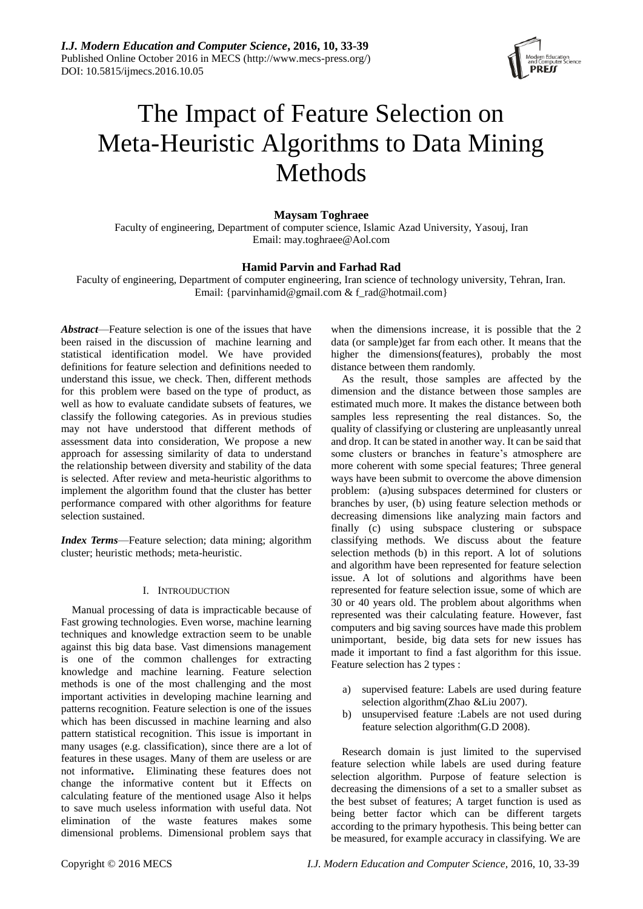

# The Impact of Feature Selection on Meta-Heuristic Algorithms to Data Mining Methods

# **Maysam Toghraee**

Faculty of engineering, Department of computer science, Islamic Azad University, Yasouj, Iran Email: [may.toghraee@Aol.com](mailto:may.toghraee@Aol.com)

# **Hamid Parvin and Farhad Rad**

Faculty of engineering, Department of computer engineering, Iran science of technology university, Tehran, Iran. Email: [{parvinhamid@gmail.com](mailto:parvinhamid@gmail.com) & [f\\_rad@hotmail.com}](mailto:f_rad@hotmail.com)

*Abstract*—Feature selection is one of the issues that have been raised in the discussion of machine learning and statistical identification model. We have provided definitions for feature selection and definitions needed to understand this issue, we check. Then, different methods for this problem were based on the type of product, as well as how to evaluate candidate subsets of features, we classify the following categories. As in previous studies may not have understood that different methods of assessment data into consideration, We propose a new approach for assessing similarity of data to understand the relationship between diversity and stability of the data is selected. After review and meta-heuristic algorithms to implement the algorithm found that the cluster has better performance compared with other algorithms for feature selection sustained.

*Index Terms*—Feature selection; data mining; algorithm cluster; heuristic methods; meta-heuristic.

# I. INTROUDUCTION

Manual processing of data is impracticable because of Fast growing technologies. Even worse, machine learning techniques and knowledge extraction seem to be unable against this big data base. Vast dimensions management is one of the common challenges for extracting knowledge and machine learning. Feature selection methods is one of the most challenging and the most important activities in developing machine learning and patterns recognition. Feature selection is one of the issues which has been discussed in machine learning and also pattern statistical recognition. This issue is important in many usages (e.g. classification), since there are a lot of features in these usages. Many of them are useless or are not informative**.** Eliminating these features does not change the informative content but it Effects on calculating feature of the mentioned usage Also it helps to save much useless information with useful data. Not elimination of the waste features makes some dimensional problems. Dimensional problem says that

when the dimensions increase, it is possible that the 2 data (or sample)get far from each other. It means that the higher the dimensions (features), probably the most distance between them randomly.

As the result, those samples are affected by the dimension and the distance between those samples are estimated much more. It makes the distance between both samples less representing the real distances. So, the quality of classifying or clustering are unpleasantly unreal and drop. It can be stated in another way. It can be said that some clusters or branches in feature's atmosphere are more coherent with some special features; Three general ways have been submit to overcome the above dimension problem: (a)using subspaces determined for clusters or branches by user, (b) using feature selection methods or decreasing dimensions like analyzing main factors and finally (c) using subspace clustering or subspace classifying methods. We discuss about the feature selection methods (b) in this report. A lot of solutions and algorithm have been represented for feature selection issue. A lot of solutions and algorithms have been represented for feature selection issue, some of which are 30 or 40 years old. The problem about algorithms when represented was their calculating feature. However, fast computers and big saving sources have made this problem unimportant, beside, big data sets for new issues has made it important to find a fast algorithm for this issue. Feature selection has 2 types :

- a) supervised feature: Labels are used during feature selection algorithm(Zhao &Liu 2007).
- b) unsupervised feature :Labels are not used during feature selection algorithm(G.D 2008).

Research domain is just limited to the supervised feature selection while labels are used during feature selection algorithm. Purpose of feature selection is decreasing the dimensions of a set to a smaller subset as the best subset of features; A target function is used as being better factor which can be different targets according to the primary hypothesis. This being better can be measured, for example accuracy in classifying. We are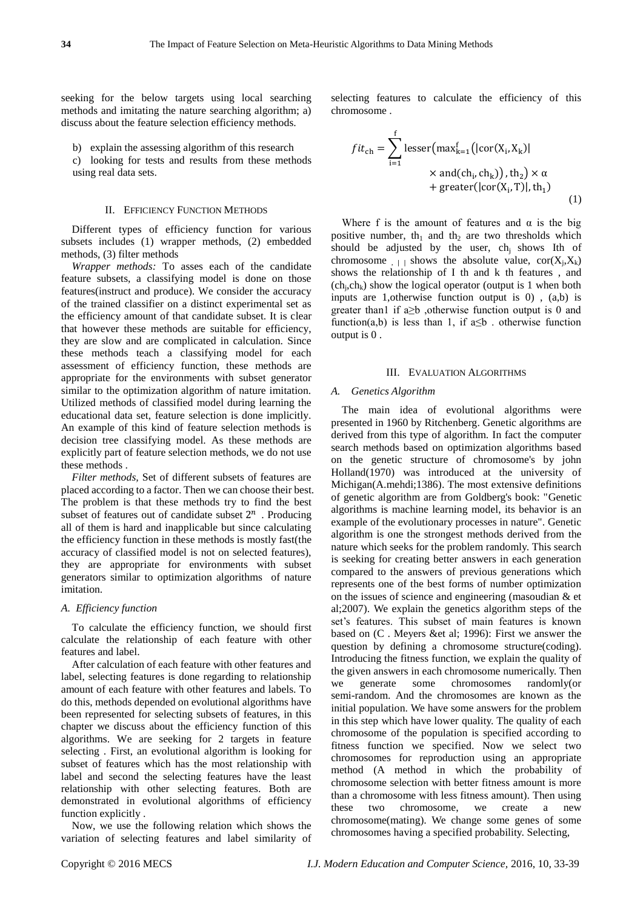seeking for the below targets using local searching methods and imitating the nature searching algorithm; a) discuss about the feature selection efficiency methods.

b) explain the assessing algorithm of this research c) looking for tests and results from these methods using real data sets.

### II. EFFICIENCY FUNCTION METHODS

Different types of efficiency function for various subsets includes (1) wrapper methods, (2) embedded methods, (3) filter methods

*Wrapper methods:* To asses each of the candidate feature subsets, a classifying model is done on those features(instruct and produce). We consider the accuracy of the trained classifier on a distinct experimental set as the efficiency amount of that candidate subset. It is clear that however these methods are suitable for efficiency, they are slow and are complicated in calculation. Since these methods teach a classifying model for each assessment of efficiency function, these methods are appropriate for the environments with subset generator similar to the optimization algorithm of nature imitation. Utilized methods of classified model during learning the educational data set, feature selection is done implicitly. An example of this kind of feature selection methods is decision tree classifying model. As these methods are explicitly part of feature selection methods, we do not use these methods .

*Filter methods,* Set of different subsets of features are placed according to a factor. Then we can choose their best. The problem is that these methods try to find the best subset of features out of candidate subset  $2^n$  . Producing all of them is hard and inapplicable but since calculating the efficiency function in these methods is mostly fast(the accuracy of classified model is not on selected features), they are appropriate for environments with subset generators similar to optimization algorithms of nature imitation.

# *A. Efficiency function*

To calculate the efficiency function, we should first calculate the relationship of each feature with other features and label.

After calculation of each feature with other features and label, selecting features is done regarding to relationship amount of each feature with other features and labels. To do this, methods depended on evolutional algorithms have been represented for selecting subsets of features, in this chapter we discuss about the efficiency function of this algorithms. We are seeking for 2 targets in feature selecting . First, an evolutional algorithm is looking for subset of features which has the most relationship with label and second the selecting features have the least relationship with other selecting features. Both are demonstrated in evolutional algorithms of efficiency function explicitly .

Now, we use the following relation which shows the variation of selecting features and label similarity of selecting features to calculate the efficiency of this chromosome .

$$
fit_{ch} = \sum_{i=1}^{f} lesser(max_{k=1}^{f}(|cor(X_i, X_k)|
$$
  
× and(ch<sub>i</sub>, ch<sub>k</sub>)), th<sub>2</sub>) × α  
+ greater(|cor(X<sub>i</sub>, T)|, th<sub>1</sub>) (1)

Where f is the amount of features and  $\alpha$  is the big positive number, th<sub>1</sub> and th<sub>2</sub> are two thresholds which should be adjusted by the user,  $ch_i$  shows Ith of chromosome  $|A| + \leq$  is shows the absolute value,  $\text{cor}(X_i, X_k)$ shows the relationship of I th and k th features , and  $(ch<sub>j</sub>, ch<sub>k</sub>)$  show the logical operator (output is 1 when both inputs are 1,otherwise function output is 0) , (a,b) is greater than1 if  $a \ge b$ , otherwise function output is 0 and function(a,b) is less than 1, if  $a \leq b$ . otherwise function output is 0 .

## III. EVALUATION ALGORITHMS

# *A. Genetics Algorithm*

The main idea of evolutional algorithms were presented in 1960 by Ritchenberg. Genetic algorithms are derived from this type of algorithm. In fact the computer search methods based on optimization algorithms based on the genetic structure of chromosome's by john Holland(1970) was introduced at the university of Michigan(A.mehdi;1386). The most extensive definitions of genetic algorithm are from Goldberg's book: "Genetic algorithms is machine learning model, its behavior is an example of the evolutionary processes in nature". Genetic algorithm is one the strongest methods derived from the nature which seeks for the problem randomly. This search is seeking for creating better answers in each generation compared to the answers of previous generations which represents one of the best forms of number optimization on the issues of science and engineering (masoudian & et al;2007). We explain the genetics algorithm steps of the set's features. This subset of main features is known based on (C . Meyers &et al; 1996): First we answer the question by defining a chromosome structure(coding). Introducing the fitness function, we explain the quality of the given answers in each chromosome numerically. Then we generate some chromosomes randomly(or semi-random. And the chromosomes are known as the initial population. We have some answers for the problem in this step which have lower quality. The quality of each chromosome of the population is specified according to fitness function we specified. Now we select two chromosomes for reproduction using an appropriate method (A method in which the probability of chromosome selection with better fitness amount is more than a chromosome with less fitness amount). Then using these two chromosome, we create a new chromosome(mating). We change some genes of some chromosomes having a specified probability. Selecting,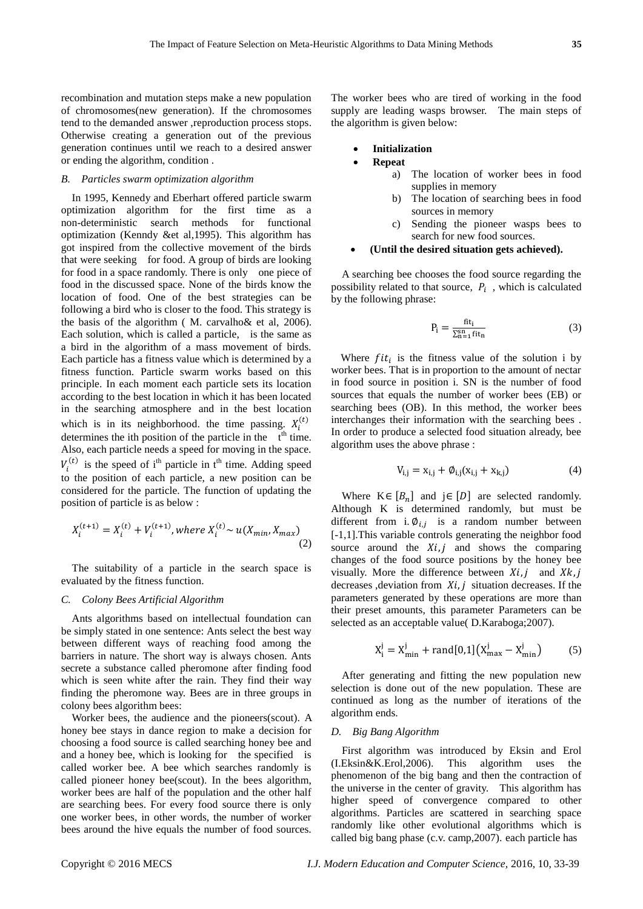recombination and mutation steps make a new population of chromosomes(new generation). If the chromosomes tend to the demanded answer ,reproduction process stops. Otherwise creating a generation out of the previous generation continues until we reach to a desired answer or ending the algorithm, condition .

#### *B. Particles swarm optimization algorithm*

In 1995, Kennedy and Eberhart offered particle swarm optimization algorithm for the first time as a non-deterministic search methods for functional optimization (Kenndy &et al,1995). This algorithm has got inspired from the collective movement of the birds that were seeking for food. A group of birds are looking for food in a space randomly. There is only one piece of food in the discussed space. None of the birds know the location of food. One of the best strategies can be following a bird who is closer to the food. This strategy is the basis of the algorithm ( M. carvalho& et al, 2006). Each solution, which is called a particle, is the same as a bird in the algorithm of a mass movement of birds. Each particle has a fitness value which is determined by a fitness function. Particle swarm works based on this principle. In each moment each particle sets its location according to the best location in which it has been located in the searching atmosphere and in the best location which is in its neighborhood. the time passing.  $X_i^{(t)}$ determines the ith position of the particle in the  $t<sup>th</sup>$  time. Also, each particle needs a speed for moving in the space.  $V_i^{(t)}$  is the speed of i<sup>th</sup> particle in t<sup>th</sup> time. Adding speed to the position of each particle, a new position can be considered for the particle. The function of updating the position of particle is as below :

$$
X_i^{(t+1)} = X_i^{(t)} + V_i^{(t+1)}, \text{where } X_i^{(t)} \sim u(X_{\min}, X_{\max})
$$
\n(2)

The suitability of a particle in the search space is evaluated by the fitness function.

# *C. Colony Bees Artificial Algorithm*

Ants algorithms based on intellectual foundation can be simply stated in one sentence: Ants select the best way between different ways of reaching food among the barriers in nature. The short way is always chosen. Ants secrete a substance called pheromone after finding food which is seen white after the rain. They find their way finding the pheromone way. Bees are in three groups in colony bees algorithm bees:

Worker bees, the audience and the pioneers(scout). A honey bee stays in dance region to make a decision for choosing a food source is called searching honey bee and and a honey bee, which is looking for the specified is called worker bee. A bee which searches randomly is called pioneer honey bee(scout). In the bees algorithm, worker bees are half of the population and the other half are searching bees. For every food source there is only one worker bees, in other words, the number of worker bees around the hive equals the number of food sources.

The worker bees who are tired of working in the food supply are leading wasps browser. The main steps of the algorithm is given below:

#### **Initialization**

#### **Repeat**

- a) The location of worker bees in food supplies in memory
- b) The location of searching bees in food sources in memory
- c) Sending the pioneer wasps bees to search for new food sources.

# **(Until the desired situation gets achieved).**

A searching bee chooses the food source regarding the possibility related to that source,  $P_i$ , which is calculated by the following phrase:

$$
P_i = \frac{fit_i}{\sum_{n=1}^{sn} fit_n}
$$
 (3)

Where  $fit_i$  is the fitness value of the solution i by worker bees. That is in proportion to the amount of nectar in food source in position i. SN is the number of food sources that equals the number of worker bees (EB) or searching bees (OB). In this method, the worker bees interchanges their information with the searching bees . In order to produce a selected food situation already, bee algorithm uses the above phrase :

$$
V_{i,j} = x_{i,j} + \phi_{i,j}(x_{i,j} + x_{k,j})
$$
 (4)

Where  $K \in [B_n]$  and  $j \in [D]$  are selected randomly. Although K is determined randomly, but must be different from i.  $\phi_{i,j}$  is a random number between [-1,1].This variable controls generating the neighbor food source around the  $Xi$ , j and shows the comparing changes of the food source positions by the honey bee visually. More the difference between  $Xi$ , j and  $Xk$ , j decreases ,deviation from  $Xi$ , j situation decreases. If the parameters generated by these operations are more than their preset amounts, this parameter Parameters can be selected as an acceptable value( D.Karaboga;2007).

$$
X_1^j = X_{\min}^j + rand[0,1](X_{\max}^j - X_{\min}^j)
$$
 (5)

After generating and fitting the new population new selection is done out of the new population. These are continued as long as the number of iterations of the algorithm ends.

#### *D. Big Bang Algorithm*

First algorithm was introduced by Eksin and Erol (I.Eksin&K.Erol,2006). This algorithm uses the phenomenon of the big bang and then the contraction of the universe in the center of gravity. This algorithm has higher speed of convergence compared to other algorithms. Particles are scattered in searching space randomly like other evolutional algorithms which is called big bang phase (c.v. camp,2007). each particle has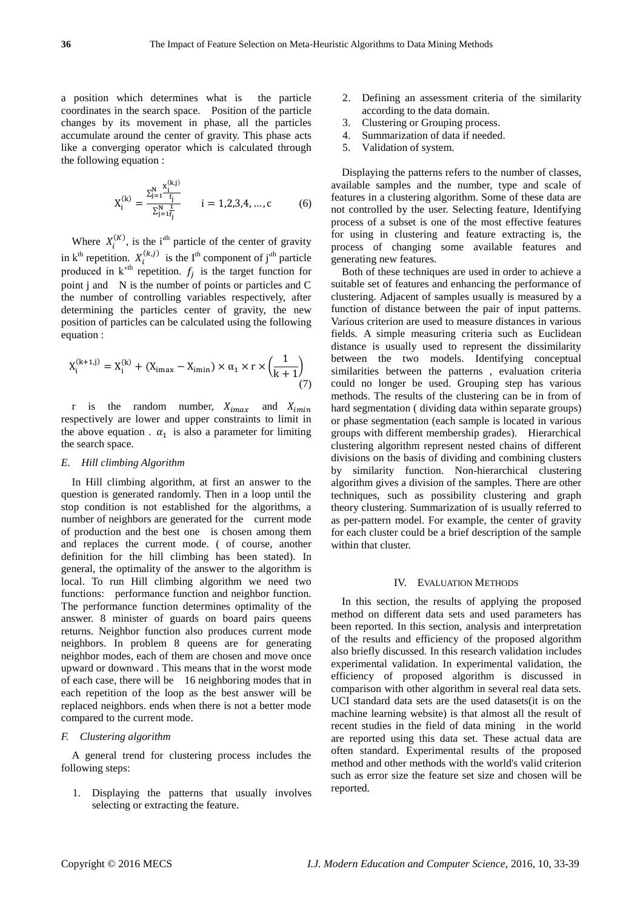a position which determines what is the particle coordinates in the search space. Position of the particle changes by its movement in phase, all the particles accumulate around the center of gravity. This phase acts like a converging operator which is calculated through the following equation :

 $\mathbb{R}$  is  $\mathbb{R}$ 

$$
X_i^{(k)} = \frac{\sum_{j=1}^{N} \frac{X_i^{(k,j)}}{f_j}}{\sum_{j=1}^{N} \bar{f}_j} \qquad i = 1,2,3,4,...,c \qquad (6)
$$

Where  $X_i^{(K)}$ , is the i<sup>th</sup> particle of the center of gravity in k<sup>th</sup> repetition.  $X_i^{(k,j)}$  is the I<sup>th</sup> component of j<sup>th</sup> particle produced in  $k^{\text{th}}$  repetition.  $f_j$  is the target function for point j and N is the number of points or particles and C the number of controlling variables respectively, after determining the particles center of gravity, the new position of particles can be calculated using the following equation :

$$
X_i^{(k+1,j)} = X_i^{(k)} + (X_{i\max} - X_{i\min}) \times \alpha_1 \times r \times \left(\frac{1}{k+1}\right)
$$
(7)

r is the random number,  $X_{imax}$  and  $X_{imin}$ respectively are lower and upper constraints to limit in the above equation .  $\alpha_1$  is also a parameter for limiting the search space.

#### *E. Hill climbing Algorithm*

In Hill climbing algorithm, at first an answer to the question is generated randomly. Then in a loop until the stop condition is not established for the algorithms, a number of neighbors are generated for the current mode of production and the best one is chosen among them and replaces the current mode. ( of course, another definition for the hill climbing has been stated). In general, the optimality of the answer to the algorithm is local. To run Hill climbing algorithm we need two functions: performance function and neighbor function. The performance function determines optimality of the answer. 8 minister of guards on board pairs queens returns. Neighbor function also produces current mode neighbors. In problem 8 queens are for generating neighbor modes, each of them are chosen and move once upward or downward . This means that in the worst mode of each case, there will be 16 neighboring modes that in each repetition of the loop as the best answer will be replaced neighbors. ends when there is not a better mode compared to the current mode.

# *F. Clustering algorithm*

A general trend for clustering process includes the following steps:

1. Displaying the patterns that usually involves selecting or extracting the feature.

- 2. Defining an assessment criteria of the similarity according to the data domain.
- 3. Clustering or Grouping process.
- 4. Summarization of data if needed.
- 5. Validation of system.

Displaying the patterns refers to the number of classes, available samples and the number, type and scale of features in a clustering algorithm. Some of these data are not controlled by the user. Selecting feature, Identifying process of a subset is one of the most effective features for using in clustering and feature extracting is, the process of changing some available features and generating new features.

Both of these techniques are used in order to achieve a suitable set of features and enhancing the performance of clustering. Adjacent of samples usually is measured by a function of distance between the pair of input patterns. Various criterion are used to measure distances in various fields. A simple measuring criteria such as Euclidean distance is usually used to represent the dissimilarity between the two models. Identifying conceptual similarities between the patterns , evaluation criteria could no longer be used. Grouping step has various methods. The results of the clustering can be in from of hard segmentation ( dividing data within separate groups) or phase segmentation (each sample is located in various groups with different membership grades). Hierarchical clustering algorithm represent nested chains of different divisions on the basis of dividing and combining clusters by similarity function. Non-hierarchical clustering algorithm gives a division of the samples. There are other techniques, such as possibility clustering and graph theory clustering. Summarization of is usually referred to as per-pattern model. For example, the center of gravity for each cluster could be a brief description of the sample within that cluster.

#### IV. EVALUATION METHODS

In this section, the results of applying the proposed method on different data sets and used parameters has been reported. In this section, analysis and interpretation of the results and efficiency of the proposed algorithm also briefly discussed. In this research validation includes experimental validation. In experimental validation, the efficiency of proposed algorithm is discussed in comparison with other algorithm in several real data sets. UCI standard data sets are the used datasets(it is on the machine learning website) is that almost all the result of recent studies in the field of data mining in the world are reported using this data set. These actual data are often standard. Experimental results of the proposed method and other methods with the world's valid criterion such as error size the feature set size and chosen will be reported.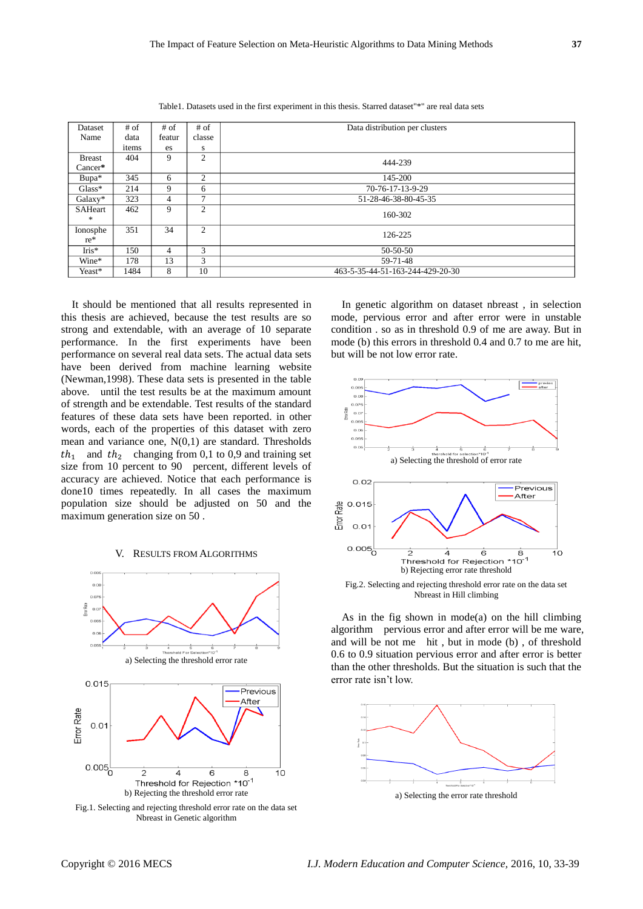| Dataset       | $#$ of | $#$ of         | $#$ of         | Data distribution per clusters   |
|---------------|--------|----------------|----------------|----------------------------------|
| Name          | data   | featur         | classe         |                                  |
|               | items  | es             | S              |                                  |
| <b>Breast</b> | 404    | 9              | 2              | 444-239                          |
| $Cancer*$     |        |                |                |                                  |
| Bupa*         | 345    | 6              | 2              | 145-200                          |
| $Glass*$      | 214    | 9              | 6              | 70-76-17-13-9-29                 |
| Galaxy*       | 323    | $\overline{4}$ | $\mathcal{I}$  | 51-28-46-38-80-45-35             |
| SAHeart       | 462    | 9              | $\overline{2}$ |                                  |
| *             |        |                |                | 160-302                          |
| Ionosphe      | 351    | 34             | 2              |                                  |
| $re^*$        |        |                |                | 126-225                          |
| $Iris*$       | 150    | $\overline{4}$ | 3              | 50-50-50                         |
| Wine*         | 178    | 13             | 3              | 59-71-48                         |
| Yeast*        | 1484   | 8              | 10             | 463-5-35-44-51-163-244-429-20-30 |

Table1. Datasets used in the first experiment in this thesis. Starred dataset"\*" are real data sets

It should be mentioned that all results represented in this thesis are achieved, because the test results are so strong and extendable, with an average of 10 separate performance. In the first experiments have been performance on several real data sets. The actual data sets have been derived from machine learning website (Newman,1998). These data sets is presented in the table above. until the test results be at the maximum amount of strength and be extendable. Test results of the standard features of these data sets have been reported. in other words, each of the properties of this dataset with zero mean and variance one,  $N(0,1)$  are standard. Thresholds  $th_1$  and  $th_2$  changing from 0,1 to 0,9 and training set size from 10 percent to 90 percent, different levels of accuracy are achieved. Notice that each performance is done10 times repeatedly. In all cases the maximum population size should be adjusted on 50 and the maximum generation size on 50 .

#### V. RESULTS FROM ALGORITHMS



Fig.1. Selecting and rejecting threshold error rate on the data set Nbreast in Genetic algorithm

In genetic algorithm on dataset nbreast , in selection mode, pervious error and after error were in unstable condition . so as in threshold 0.9 of me are away. But in mode (b) this errors in threshold 0.4 and 0.7 to me are hit, but will be not low error rate.



Nbreast in Hill climbing

As in the fig shown in mode(a) on the hill climbing algorithm pervious error and after error will be me ware, and will be not me hit , but in mode (b) , of threshold 0.6 to 0.9 situation pervious error and after error is better than the other thresholds. But the situation is such that the error rate isn't low.

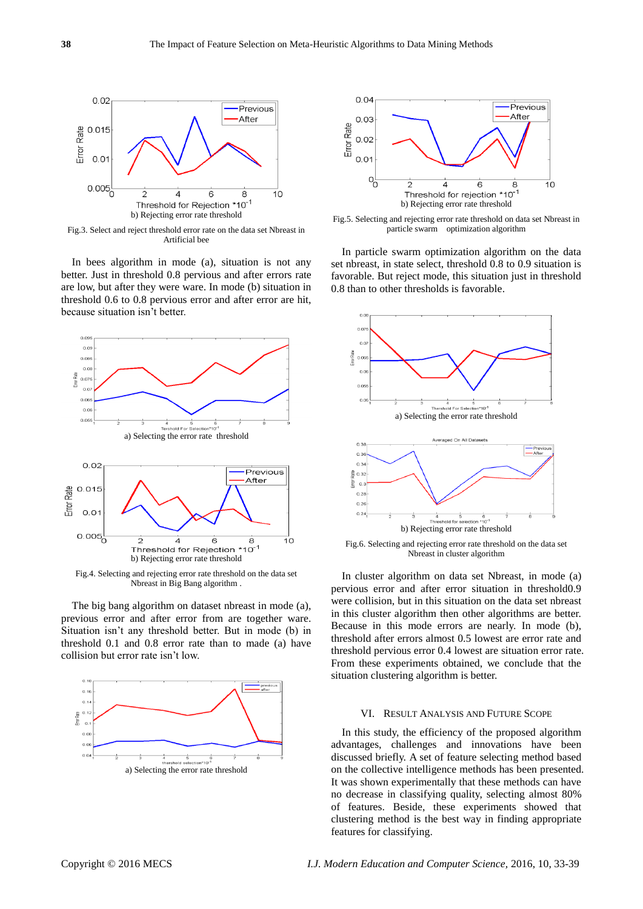

Fig.3. Select and reject threshold error rate on the data set Nbreast in Artificial bee

In bees algorithm in mode (a), situation is not any better. Just in threshold 0.8 pervious and after errors rate are low, but after they were ware. In mode (b) situation in threshold 0.6 to 0.8 pervious error and after error are hit, because situation isn't better.



Nbreast in Big Bang algorithm .

The big bang algorithm on dataset nbreast in mode (a), previous error and after error from are together ware. Situation isn't any threshold better. But in mode (b) in threshold 0.1 and 0.8 error rate than to made (a) have collision but error rate isn't low.





Fig.5. Selecting and rejecting error rate threshold on data set Nbreast in particle swarm optimization algorithm

In particle swarm optimization algorithm on the data set nbreast, in state select, threshold 0.8 to 0.9 situation is favorable. But reject mode, this situation just in threshold 0.8 than to other thresholds is favorable.



Fig.6. Selecting and rejecting error rate threshold on the data set Nbreast in cluster algorithm

In cluster algorithm on data set Nbreast, in mode (a) pervious error and after error situation in threshold0.9 were collision, but in this situation on the data set nbreast in this cluster algorithm then other algorithms are better. Because in this mode errors are nearly. In mode (b), threshold after errors almost 0.5 lowest are error rate and threshold pervious error 0.4 lowest are situation error rate. From these experiments obtained, we conclude that the situation clustering algorithm is better.

# VI. RESULT ANALYSIS AND FUTURE SCOPE

In this study, the efficiency of the proposed algorithm advantages, challenges and innovations have been discussed briefly. A set of feature selecting method based on the collective intelligence methods has been presented. It was shown experimentally that these methods can have no decrease in classifying quality, selecting almost 80% of features. Beside, these experiments showed that clustering method is the best way in finding appropriate features for classifying.